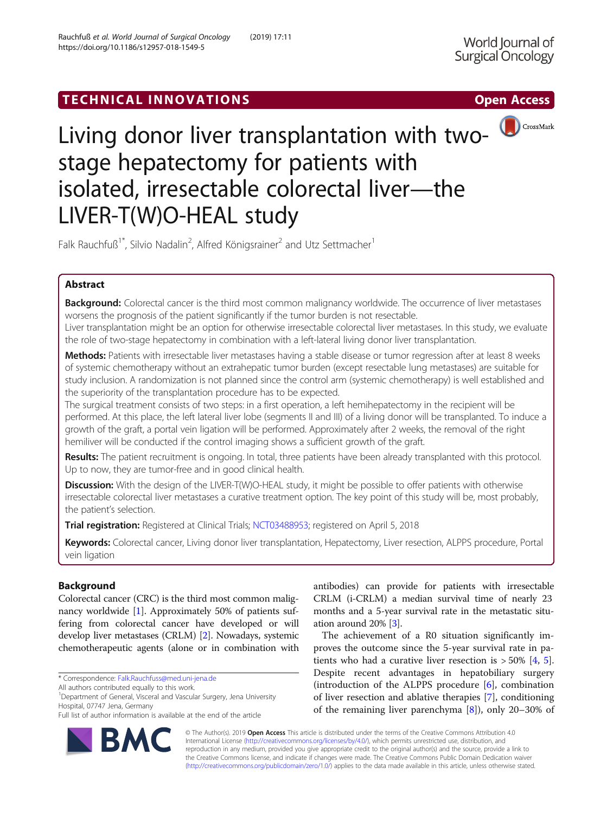## TECHNICAL INNOVATIONS **SECURE ACCESS** Open Access



# Living donor liver transplantation with twostage hepatectomy for patients with isolated, irresectable colorectal liver—the LIVER-T(W)O-HEAL study

Falk Rauchfuß<sup>1\*</sup>, Silvio Nadalin<sup>2</sup>, Alfred Königsrainer<sup>2</sup> and Utz Settmacher<sup>1</sup>

## Abstract

Background: Colorectal cancer is the third most common malignancy worldwide. The occurrence of liver metastases worsens the prognosis of the patient significantly if the tumor burden is not resectable.

Liver transplantation might be an option for otherwise irresectable colorectal liver metastases. In this study, we evaluate the role of two-stage hepatectomy in combination with a left-lateral living donor liver transplantation.

Methods: Patients with irresectable liver metastases having a stable disease or tumor regression after at least 8 weeks of systemic chemotherapy without an extrahepatic tumor burden (except resectable lung metastases) are suitable for study inclusion. A randomization is not planned since the control arm (systemic chemotherapy) is well established and the superiority of the transplantation procedure has to be expected.

The surgical treatment consists of two steps: in a first operation, a left hemihepatectomy in the recipient will be performed. At this place, the left lateral liver lobe (segments II and III) of a living donor will be transplanted. To induce a growth of the graft, a portal vein ligation will be performed. Approximately after 2 weeks, the removal of the right hemiliver will be conducted if the control imaging shows a sufficient growth of the graft.

Results: The patient recruitment is ongoing. In total, three patients have been already transplanted with this protocol. Up to now, they are tumor-free and in good clinical health.

Discussion: With the design of the LIVER-T(W)O-HEAL study, it might be possible to offer patients with otherwise irresectable colorectal liver metastases a curative treatment option. The key point of this study will be, most probably, the patient's selection.

Trial registration: Registered at Clinical Trials; [NCT03488953;](https://clinicaltrials.gov/ct2/show/study/NCT03488953) registered on April 5, 2018

Keywords: Colorectal cancer, Living donor liver transplantation, Hepatectomy, Liver resection, ALPPS procedure, Portal vein ligation

## Background

Colorectal cancer (CRC) is the third most common malignancy worldwide [\[1\]](#page-7-0). Approximately 50% of patients suffering from colorectal cancer have developed or will develop liver metastases (CRLM) [[2\]](#page-7-0). Nowadays, systemic chemotherapeutic agents (alone or in combination with



The achievement of a R0 situation significantly improves the outcome since the 5-year survival rate in patients who had a curative liver resection is  $>50\%$  $>50\%$  $>50\%$  [[4,](#page-7-0) 5]. Despite recent advantages in hepatobiliary surgery (introduction of the ALPPS procedure  $[6]$  $[6]$ , combination of liver resection and ablative therapies [\[7](#page-7-0)], conditioning of the remaining liver parenchyma [\[8](#page-7-0)]), only 20–30% of

© The Author(s). 2019 **Open Access** This article is distributed under the terms of the Creative Commons Attribution 4.0 International License [\(http://creativecommons.org/licenses/by/4.0/](http://creativecommons.org/licenses/by/4.0/)), which permits unrestricted use, distribution, and reproduction in any medium, provided you give appropriate credit to the original author(s) and the source, provide a link to the Creative Commons license, and indicate if changes were made. The Creative Commons Public Domain Dedication waiver [\(http://creativecommons.org/publicdomain/zero/1.0/](http://creativecommons.org/publicdomain/zero/1.0/)) applies to the data made available in this article, unless otherwise stated.



<sup>\*</sup> Correspondence: [Falk.Rauchfuss@med.uni-jena.de](mailto:Falk.Rauchfuss@med.uni-jena.de)

All authors contributed equally to this work.

<sup>&</sup>lt;sup>1</sup>Department of General, Visceral and Vascular Surgery, Jena University Hospital, 07747 Jena, Germany

Full list of author information is available at the end of the article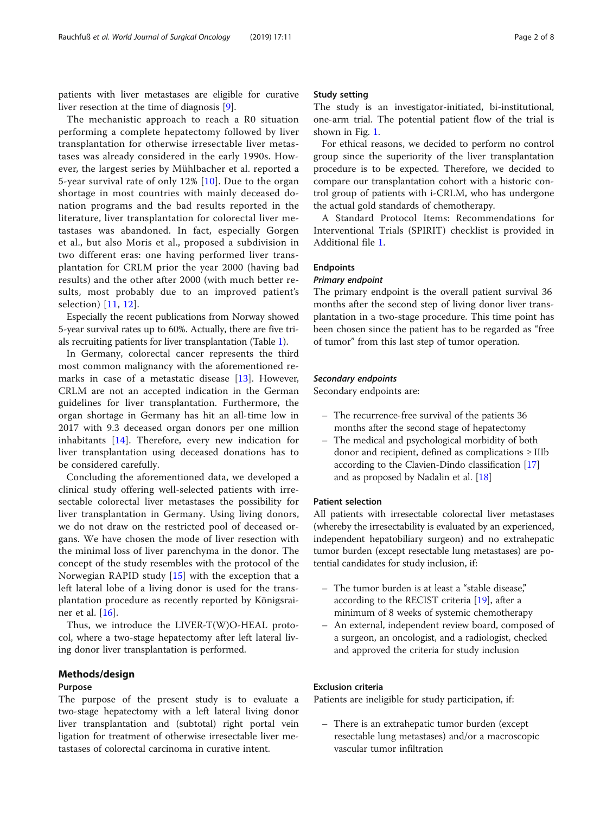patients with liver metastases are eligible for curative liver resection at the time of diagnosis [\[9](#page-7-0)].

The mechanistic approach to reach a R0 situation performing a complete hepatectomy followed by liver transplantation for otherwise irresectable liver metastases was already considered in the early 1990s. However, the largest series by Mühlbacher et al. reported a 5-year survival rate of only 12% [[10\]](#page-7-0). Due to the organ shortage in most countries with mainly deceased donation programs and the bad results reported in the literature, liver transplantation for colorectal liver metastases was abandoned. In fact, especially Gorgen et al., but also Moris et al., proposed a subdivision in two different eras: one having performed liver transplantation for CRLM prior the year 2000 (having bad results) and the other after 2000 (with much better results, most probably due to an improved patient's selection) [[11](#page-7-0), [12\]](#page-7-0).

Especially the recent publications from Norway showed 5-year survival rates up to 60%. Actually, there are five trials recruiting patients for liver transplantation (Table [1](#page-2-0)).

In Germany, colorectal cancer represents the third most common malignancy with the aforementioned remarks in case of a metastatic disease [\[13](#page-7-0)]. However, CRLM are not an accepted indication in the German guidelines for liver transplantation. Furthermore, the organ shortage in Germany has hit an all-time low in 2017 with 9.3 deceased organ donors per one million inhabitants [[14\]](#page-7-0). Therefore, every new indication for liver transplantation using deceased donations has to be considered carefully.

Concluding the aforementioned data, we developed a clinical study offering well-selected patients with irresectable colorectal liver metastases the possibility for liver transplantation in Germany. Using living donors, we do not draw on the restricted pool of deceased organs. We have chosen the mode of liver resection with the minimal loss of liver parenchyma in the donor. The concept of the study resembles with the protocol of the Norwegian RAPID study [[15\]](#page-7-0) with the exception that a left lateral lobe of a living donor is used for the transplantation procedure as recently reported by Königsrainer et al. [[16\]](#page-7-0).

Thus, we introduce the LIVER-T(W)O-HEAL protocol, where a two-stage hepatectomy after left lateral living donor liver transplantation is performed.

#### Methods/design

#### Purpose

The purpose of the present study is to evaluate a two-stage hepatectomy with a left lateral living donor liver transplantation and (subtotal) right portal vein ligation for treatment of otherwise irresectable liver metastases of colorectal carcinoma in curative intent.

#### Study setting

The study is an investigator-initiated, bi-institutional, one-arm trial. The potential patient flow of the trial is shown in Fig. [1](#page-3-0).

For ethical reasons, we decided to perform no control group since the superiority of the liver transplantation procedure is to be expected. Therefore, we decided to compare our transplantation cohort with a historic control group of patients with i-CRLM, who has undergone the actual gold standards of chemotherapy.

A Standard Protocol Items: Recommendations for Interventional Trials (SPIRIT) checklist is provided in Additional file [1](#page-7-0).

#### Endpoints

## Primary endpoint

The primary endpoint is the overall patient survival 36 months after the second step of living donor liver transplantation in a two-stage procedure. This time point has been chosen since the patient has to be regarded as "free of tumor" from this last step of tumor operation.

#### Secondary endpoints

Secondary endpoints are:

- The recurrence-free survival of the patients 36 months after the second stage of hepatectomy
- The medical and psychological morbidity of both donor and recipient, defined as complications ≥ IIIb according to the Clavien-Dindo classification [\[17\]](#page-7-0) and as proposed by Nadalin et al. [\[18\]](#page-7-0)

#### Patient selection

All patients with irresectable colorectal liver metastases (whereby the irresectability is evaluated by an experienced, independent hepatobiliary surgeon) and no extrahepatic tumor burden (except resectable lung metastases) are potential candidates for study inclusion, if:

- The tumor burden is at least a "stable disease," according to the RECIST criteria [[19](#page-7-0)], after a minimum of 8 weeks of systemic chemotherapy
- An external, independent review board, composed of a surgeon, an oncologist, and a radiologist, checked and approved the criteria for study inclusion

#### Exclusion criteria

Patients are ineligible for study participation, if:

– There is an extrahepatic tumor burden (except resectable lung metastases) and/or a macroscopic vascular tumor infiltration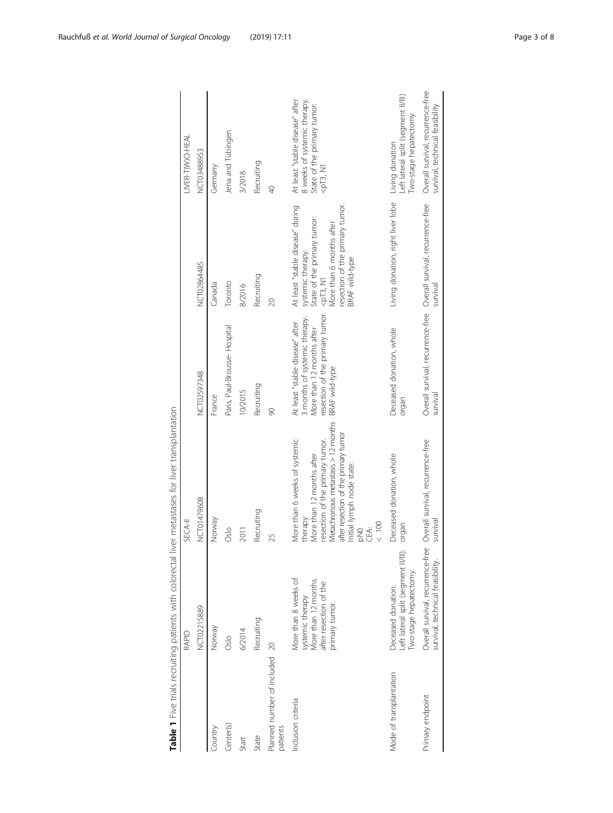<span id="page-2-0"></span>

|                                           | <b>RAPID</b>                                                                                                | SECA-II                                                                                                                                                                                                                                           |                                                                                                                                                    |                                                                                                                                                                                               | LIVER-T(W)O-HEAL                                                                                                   |
|-------------------------------------------|-------------------------------------------------------------------------------------------------------------|---------------------------------------------------------------------------------------------------------------------------------------------------------------------------------------------------------------------------------------------------|----------------------------------------------------------------------------------------------------------------------------------------------------|-----------------------------------------------------------------------------------------------------------------------------------------------------------------------------------------------|--------------------------------------------------------------------------------------------------------------------|
|                                           | NCT02215889                                                                                                 | NCT01479608                                                                                                                                                                                                                                       | NCT02597348                                                                                                                                        | NCT02864485                                                                                                                                                                                   | NCT03488953                                                                                                        |
| Country                                   | Norway                                                                                                      | Norway                                                                                                                                                                                                                                            | France                                                                                                                                             | Canada                                                                                                                                                                                        | Germany                                                                                                            |
| Center(s)                                 | Oslo                                                                                                        | Oslo                                                                                                                                                                                                                                              | Paris, Paul-Brousse-Hospital                                                                                                                       | Toronto                                                                                                                                                                                       | Jena and Tübingen                                                                                                  |
| Start                                     | 6/2014                                                                                                      | 2011                                                                                                                                                                                                                                              | 10/2015                                                                                                                                            | 8/2016                                                                                                                                                                                        | 3/2018                                                                                                             |
| State                                     | Recruiting                                                                                                  | Recruiting                                                                                                                                                                                                                                        | Recruiting                                                                                                                                         | Recruiting                                                                                                                                                                                    | Recruiting                                                                                                         |
| Planned number of included 20<br>patients |                                                                                                             | 25                                                                                                                                                                                                                                                | 90                                                                                                                                                 | $\overline{20}$                                                                                                                                                                               | $\overline{Q}$                                                                                                     |
| Inclusion criteria                        | More than 8 weeks of<br>systemic therapy<br>More than 12 months<br>after resection of the<br>primary tumor. | Metachronous metastasis > 12 months<br>after resection of the primary tumor<br>More than 6 weeks of systemic<br>resection of the primary tumor.<br>More than 12 months after<br>Initial lymph node state:<br>therapy<br>< 100<br>ËÄ<br><b>DNO</b> | resection of the primary tumor.<br>3 months of systemic therapy.<br>At least "stable disease" after<br>More than 12 months after<br>BRAF wild-type | resection of the primary tumor.<br>At least "stable disease" during<br>State of the primary tumor:<br><pt3, n1<br="">More than 6 months after<br/>systemic therapy.<br/>BRAF wild-type</pt3,> | At least "stable disease" after<br>8 weeks of systemic therapy.<br>State of the primary tumor:<br>$\varphi$ T3, N1 |
| Mode of transplantation                   | eft lateral split (segment II/III)<br>Iwo-stage hepatectomy.<br>Deceased donation.                          | Deceased donation, whole<br>organ                                                                                                                                                                                                                 | Deceased donation, whole<br>organ                                                                                                                  | Living donation, right liver lobe                                                                                                                                                             | Left lateral split (segment II/III)<br>Two-stage hepatectomy<br>Living donation                                    |
| Primary endpoint                          | Overall survival, recurrence-free<br>survival, technical feasibility.                                       | Overall survival, recurrence-free<br>survival                                                                                                                                                                                                     | Overall survival, recurrence-free  Overall survival, recurrence-free<br>survival                                                                   | survival                                                                                                                                                                                      | Overall survival, recurrence-free<br>survival, technical feasibility                                               |
|                                           |                                                                                                             |                                                                                                                                                                                                                                                   |                                                                                                                                                    |                                                                                                                                                                                               |                                                                                                                    |

Table 1 Five trials recruiting patients with colorectal liver metastases for liver transplantation Table 1 Five trials recruiting patients with colorectal liver metastases for liver transplantation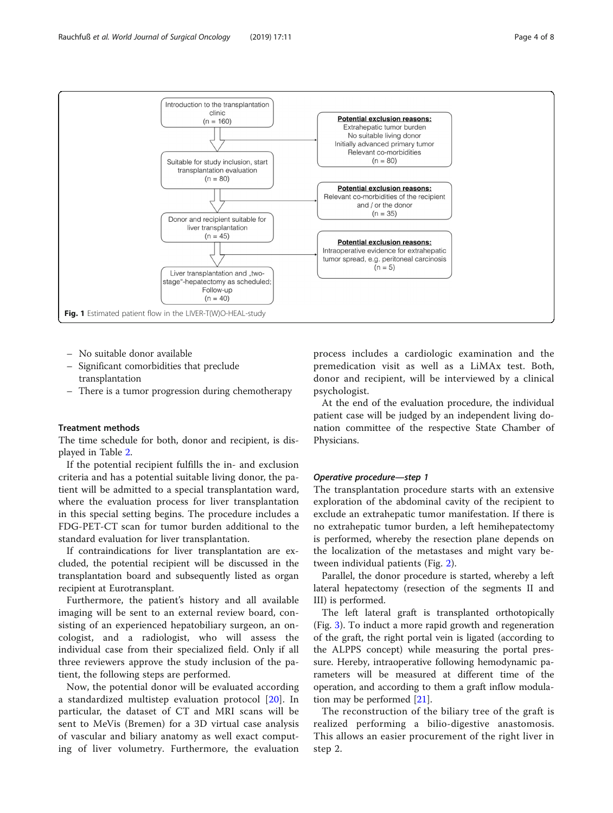<span id="page-3-0"></span>

- No suitable donor available
- Significant comorbidities that preclude transplantation
- There is a tumor progression during chemotherapy

#### Treatment methods

The time schedule for both, donor and recipient, is displayed in Table [2.](#page-4-0)

If the potential recipient fulfills the in- and exclusion criteria and has a potential suitable living donor, the patient will be admitted to a special transplantation ward, where the evaluation process for liver transplantation in this special setting begins. The procedure includes a FDG-PET-CT scan for tumor burden additional to the standard evaluation for liver transplantation.

If contraindications for liver transplantation are excluded, the potential recipient will be discussed in the transplantation board and subsequently listed as organ recipient at Eurotransplant.

Furthermore, the patient's history and all available imaging will be sent to an external review board, consisting of an experienced hepatobiliary surgeon, an oncologist, and a radiologist, who will assess the individual case from their specialized field. Only if all three reviewers approve the study inclusion of the patient, the following steps are performed.

Now, the potential donor will be evaluated according a standardized multistep evaluation protocol [[20](#page-7-0)]. In particular, the dataset of CT and MRI scans will be sent to MeVis (Bremen) for a 3D virtual case analysis of vascular and biliary anatomy as well exact computing of liver volumetry. Furthermore, the evaluation

process includes a cardiologic examination and the premedication visit as well as a LiMAx test. Both, donor and recipient, will be interviewed by a clinical psychologist.

At the end of the evaluation procedure, the individual patient case will be judged by an independent living donation committee of the respective State Chamber of Physicians.

#### Operative procedure—step 1

The transplantation procedure starts with an extensive exploration of the abdominal cavity of the recipient to exclude an extrahepatic tumor manifestation. If there is no extrahepatic tumor burden, a left hemihepatectomy is performed, whereby the resection plane depends on the localization of the metastases and might vary between individual patients (Fig. [2](#page-5-0)).

Parallel, the donor procedure is started, whereby a left lateral hepatectomy (resection of the segments II and III) is performed.

The left lateral graft is transplanted orthotopically (Fig. [3](#page-5-0)). To induct a more rapid growth and regeneration of the graft, the right portal vein is ligated (according to the ALPPS concept) while measuring the portal pressure. Hereby, intraoperative following hemodynamic parameters will be measured at different time of the operation, and according to them a graft inflow modulation may be performed [\[21\]](#page-7-0).

The reconstruction of the biliary tree of the graft is realized performing a bilio-digestive anastomosis. This allows an easier procurement of the right liver in step 2.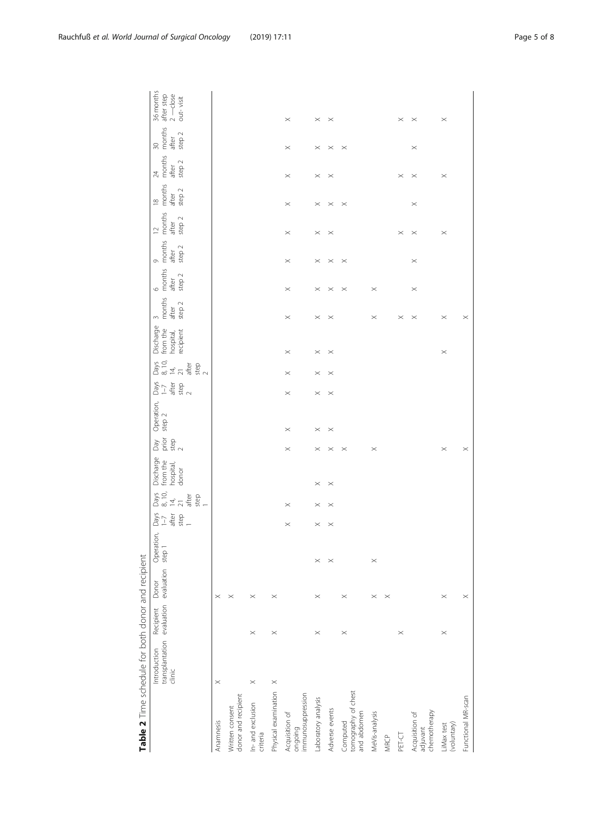<span id="page-4-0"></span>

| <b>I diplome 2</b> I lille superior collor is a lille and the lille of the superior of the superior of the superior of the superior of the superior of the superior of the superior of the superior of the superior of the superior |                                           |                         |          |                                       |                                                |                                                                                        |                                             |                                    |                      |                                                        |                                                                        |                                                 |                           |                                   |                           |                                             |                                                      |                                   |                                        |                                                     |
|-------------------------------------------------------------------------------------------------------------------------------------------------------------------------------------------------------------------------------------|-------------------------------------------|-------------------------|----------|---------------------------------------|------------------------------------------------|----------------------------------------------------------------------------------------|---------------------------------------------|------------------------------------|----------------------|--------------------------------------------------------|------------------------------------------------------------------------|-------------------------------------------------|---------------------------|-----------------------------------|---------------------------|---------------------------------------------|------------------------------------------------------|-----------------------------------|----------------------------------------|-----------------------------------------------------|
|                                                                                                                                                                                                                                     | transplantation<br>Introduction<br>clinic | evaluation<br>Recipient |          | Donor Operation,<br>evaluation step 1 | Days<br>1-7<br>after<br>step<br>$\overline{a}$ | 8, 10,<br>Days<br>step<br>after<br>$\overline{4}$<br>$\overline{21}$<br>$\overline{a}$ | Discharge<br>from the<br>hospital,<br>donor | prior<br>step $\frac{1}{2}$<br>Day | Operation,<br>step 2 | $\overline{21}$<br>Days<br>$1-7$<br>after<br>step<br>2 | 8, 10,<br><b>Days</b><br>after<br>step $\frac{1}{2}$<br>$\overline{4}$ | Discharge<br>from the<br>hospital,<br>recipient | months<br>step 2<br>after | months<br>step 2<br>after         | months<br>step 2<br>after | months<br>step 2<br>after<br>$\overline{C}$ | months<br>step 2<br>after<br>$\frac{\infty}{\infty}$ | months<br>step $2$<br>after<br>24 | months<br>step 2<br>after<br>$\approx$ | 36 months<br>$2 -$ close<br>after step<br>out-visit |
| Anamnesis                                                                                                                                                                                                                           | $\! \times$                               |                         | $\times$ |                                       |                                                |                                                                                        |                                             |                                    |                      |                                                        |                                                                        |                                                 |                           |                                   |                           |                                             |                                                      |                                   |                                        |                                                     |
| donor and recipient<br>Written consent                                                                                                                                                                                              |                                           |                         | $\times$ |                                       |                                                |                                                                                        |                                             |                                    |                      |                                                        |                                                                        |                                                 |                           |                                   |                           |                                             |                                                      |                                   |                                        |                                                     |
| In- and exclusion<br>criteria                                                                                                                                                                                                       | $\! \times$                               | $\times$                | $\times$ |                                       |                                                |                                                                                        |                                             |                                    |                      |                                                        |                                                                        |                                                 |                           |                                   |                           |                                             |                                                      |                                   |                                        |                                                     |
| Physical examination X                                                                                                                                                                                                              |                                           | $\times$                | $\times$ |                                       |                                                |                                                                                        |                                             |                                    |                      |                                                        |                                                                        |                                                 |                           |                                   |                           |                                             |                                                      |                                   |                                        |                                                     |
| immunosuppression<br>Acquisition of<br>ongoing                                                                                                                                                                                      |                                           |                         |          |                                       | $\times$                                       | $\times$                                                                               |                                             | $\times$<br>$\times$               |                      | $\times$<br>$\times$                                   | $\times$                                                               | $\times$                                        | $\times$                  | $\times$                          | $\times$                  | $\times$                                    |                                                      | $\! \times$                       | $\times$                               | $\times$                                            |
| Laboratory analysis                                                                                                                                                                                                                 |                                           | $\times$                | $\times$ | $\times$                              | $\times$                                       | $\times$                                                                               | $\times$                                    | $\times$<br>$\times$               |                      | $\times$<br>$\times$                                   | $\times$                                                               | $\times$                                        | $\! \times$               | $\times$                          | $\times$                  | $\times$                                    |                                                      | $\! \times$                       | $\times$                               | $\times$                                            |
| Adverse events                                                                                                                                                                                                                      |                                           |                         |          | $\times$                              | $\times$                                       | $\times$                                                                               | $\times$                                    | $\times$<br>$\times$               |                      | $\times$<br>$\times$                                   | $\times$                                                               | $\times$                                        | $\times$                  | $\times$                          | $\times$                  | $\times$                                    |                                                      | $\times$                          | $\times$                               | $\times$                                            |
| tomography of chest<br>and abdomen<br>Computed                                                                                                                                                                                      |                                           | $\times$                | $\times$ |                                       |                                                |                                                                                        |                                             | $\times$                           |                      |                                                        |                                                                        |                                                 | $\! \times$               | $\overline{\phantom{1}}$ $\times$ |                           | $\times$                                    |                                                      |                                   | $\times$                               |                                                     |
| MeVis-analysis                                                                                                                                                                                                                      |                                           |                         | $\times$ | $\times$                              |                                                |                                                                                        |                                             | $\times$                           |                      |                                                        |                                                                        | $\times$                                        | $\times$                  |                                   |                           |                                             |                                                      |                                   |                                        |                                                     |
| <b>MRCP</b>                                                                                                                                                                                                                         |                                           |                         | $\times$ |                                       |                                                |                                                                                        |                                             |                                    |                      |                                                        |                                                                        |                                                 |                           |                                   |                           |                                             |                                                      |                                   |                                        |                                                     |
| PET-CT                                                                                                                                                                                                                              |                                           | $\times$                |          |                                       |                                                |                                                                                        |                                             |                                    |                      |                                                        |                                                                        | $\times$                                        |                           |                                   | $\times$                  |                                             |                                                      | $\times$                          |                                        | $\times$                                            |
| chemotherapy<br>Acquisition of<br>adjuvant                                                                                                                                                                                          |                                           |                         |          |                                       |                                                |                                                                                        |                                             |                                    |                      |                                                        |                                                                        | $\times$                                        | $\times$                  | $\times$                          | $\times$                  | $\times$                                    |                                                      | $\mathbb{\times}$                 | $\times$                               | $\mathbb{\times}$                                   |
| (voluntary)<br>LiMax test                                                                                                                                                                                                           |                                           | $\times$                | $\times$ |                                       |                                                |                                                                                        |                                             | $\times$                           |                      |                                                        | $\times$                                                               | $\times$                                        |                           |                                   | $\times$                  |                                             |                                                      | $\times$                          |                                        | $\times$                                            |
| Functional MR-scan                                                                                                                                                                                                                  |                                           |                         |          |                                       |                                                |                                                                                        |                                             |                                    |                      |                                                        |                                                                        |                                                 |                           |                                   |                           |                                             |                                                      |                                   |                                        |                                                     |

**Table 2** Time schedule for both donor and recipient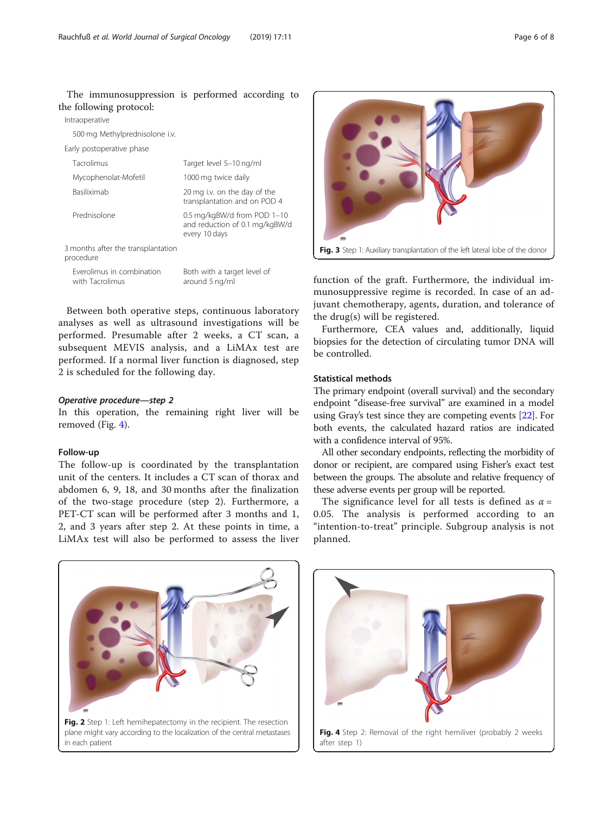## <span id="page-5-0"></span>The immunosuppression is performed according to the following protocol:

Intraoperative

500 mg Methylprednisolone i.v.

| Early postoperative phase                       |                                                                                |
|-------------------------------------------------|--------------------------------------------------------------------------------|
| Tacrolimus                                      | Target level 5-10 ng/ml                                                        |
| Mycophenolat-Mofetil                            | 1000 mg twice daily                                                            |
| Basiliximab                                     | 20 mg i.v. on the day of the<br>transplantation and on POD 4                   |
| Prednisolone                                    | 0.5 mg/kgBW/d from POD 1-10<br>and reduction of 0.1 mg/kgBW/d<br>every 10 days |
| 3 months after the transplantation<br>procedure |                                                                                |
| Everolimus in combination<br>with Tacrolimus    | Both with a target level of<br>around 5 ng/ml                                  |

Between both operative steps, continuous laboratory analyses as well as ultrasound investigations will be performed. Presumable after 2 weeks, a CT scan, a subsequent MEVIS analysis, and a LiMAx test are performed. If a normal liver function is diagnosed, step 2 is scheduled for the following day.

#### Operative procedure—step 2

In this operation, the remaining right liver will be removed (Fig. 4).

#### Follow-up

The follow-up is coordinated by the transplantation unit of the centers. It includes a CT scan of thorax and abdomen 6, 9, 18, and 30 months after the finalization of the two-stage procedure (step 2). Furthermore, a PET-CT scan will be performed after 3 months and 1, 2, and 3 years after step 2. At these points in time, a LiMAx test will also be performed to assess the liver



function of the graft. Furthermore, the individual immunosuppressive regime is recorded. In case of an adjuvant chemotherapy, agents, duration, and tolerance of the drug(s) will be registered.

Furthermore, CEA values and, additionally, liquid biopsies for the detection of circulating tumor DNA will be controlled.

#### Statistical methods

The primary endpoint (overall survival) and the secondary endpoint "disease-free survival" are examined in a model using Gray's test since they are competing events [\[22\]](#page-7-0). For both events, the calculated hazard ratios are indicated with a confidence interval of 95%.

All other secondary endpoints, reflecting the morbidity of donor or recipient, are compared using Fisher's exact test between the groups. The absolute and relative frequency of these adverse events per group will be reported.

The significance level for all tests is defined as  $\alpha$  = 0.05. The analysis is performed according to an "intention-to-treat" principle. Subgroup analysis is not planned.



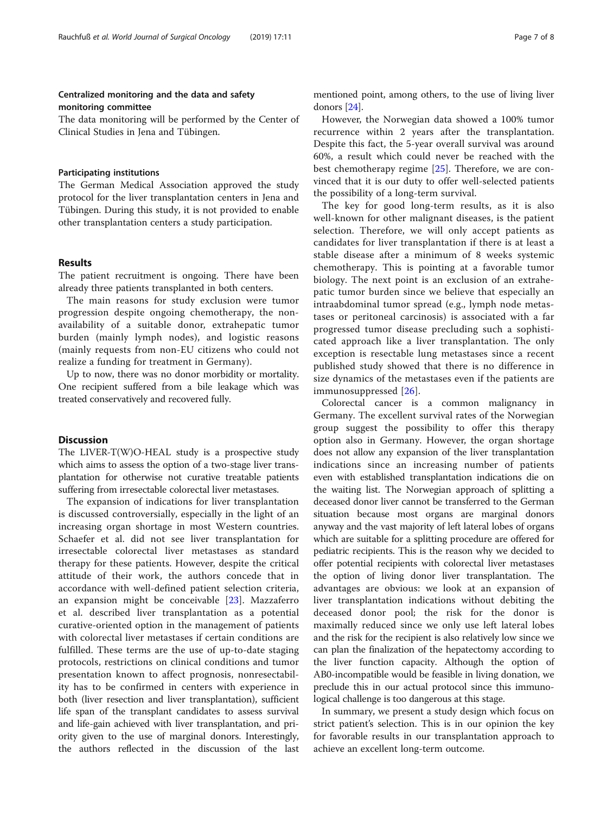## Centralized monitoring and the data and safety monitoring committee

The data monitoring will be performed by the Center of Clinical Studies in Jena and Tübingen.

#### Participating institutions

The German Medical Association approved the study protocol for the liver transplantation centers in Jena and Tübingen. During this study, it is not provided to enable other transplantation centers a study participation.

#### Results

The patient recruitment is ongoing. There have been already three patients transplanted in both centers.

The main reasons for study exclusion were tumor progression despite ongoing chemotherapy, the nonavailability of a suitable donor, extrahepatic tumor burden (mainly lymph nodes), and logistic reasons (mainly requests from non-EU citizens who could not realize a funding for treatment in Germany).

Up to now, there was no donor morbidity or mortality. One recipient suffered from a bile leakage which was treated conservatively and recovered fully.

#### Discussion

The LIVER-T(W)O-HEAL study is a prospective study which aims to assess the option of a two-stage liver transplantation for otherwise not curative treatable patients suffering from irresectable colorectal liver metastases.

The expansion of indications for liver transplantation is discussed controversially, especially in the light of an increasing organ shortage in most Western countries. Schaefer et al. did not see liver transplantation for irresectable colorectal liver metastases as standard therapy for these patients. However, despite the critical attitude of their work, the authors concede that in accordance with well-defined patient selection criteria, an expansion might be conceivable [\[23](#page-7-0)]. Mazzaferro et al. described liver transplantation as a potential curative-oriented option in the management of patients with colorectal liver metastases if certain conditions are fulfilled. These terms are the use of up-to-date staging protocols, restrictions on clinical conditions and tumor presentation known to affect prognosis, nonresectability has to be confirmed in centers with experience in both (liver resection and liver transplantation), sufficient life span of the transplant candidates to assess survival and life-gain achieved with liver transplantation, and priority given to the use of marginal donors. Interestingly, the authors reflected in the discussion of the last mentioned point, among others, to the use of living liver donors [\[24\]](#page-7-0).

However, the Norwegian data showed a 100% tumor recurrence within 2 years after the transplantation. Despite this fact, the 5-year overall survival was around 60%, a result which could never be reached with the best chemotherapy regime [[25\]](#page-7-0). Therefore, we are convinced that it is our duty to offer well-selected patients the possibility of a long-term survival.

The key for good long-term results, as it is also well-known for other malignant diseases, is the patient selection. Therefore, we will only accept patients as candidates for liver transplantation if there is at least a stable disease after a minimum of 8 weeks systemic chemotherapy. This is pointing at a favorable tumor biology. The next point is an exclusion of an extrahepatic tumor burden since we believe that especially an intraabdominal tumor spread (e.g., lymph node metastases or peritoneal carcinosis) is associated with a far progressed tumor disease precluding such a sophisticated approach like a liver transplantation. The only exception is resectable lung metastases since a recent published study showed that there is no difference in size dynamics of the metastases even if the patients are immunosuppressed [[26](#page-7-0)].

Colorectal cancer is a common malignancy in Germany. The excellent survival rates of the Norwegian group suggest the possibility to offer this therapy option also in Germany. However, the organ shortage does not allow any expansion of the liver transplantation indications since an increasing number of patients even with established transplantation indications die on the waiting list. The Norwegian approach of splitting a deceased donor liver cannot be transferred to the German situation because most organs are marginal donors anyway and the vast majority of left lateral lobes of organs which are suitable for a splitting procedure are offered for pediatric recipients. This is the reason why we decided to offer potential recipients with colorectal liver metastases the option of living donor liver transplantation. The advantages are obvious: we look at an expansion of liver transplantation indications without debiting the deceased donor pool; the risk for the donor is maximally reduced since we only use left lateral lobes and the risk for the recipient is also relatively low since we can plan the finalization of the hepatectomy according to the liver function capacity. Although the option of AB0-incompatible would be feasible in living donation, we preclude this in our actual protocol since this immunological challenge is too dangerous at this stage.

In summary, we present a study design which focus on strict patient's selection. This is in our opinion the key for favorable results in our transplantation approach to achieve an excellent long-term outcome.